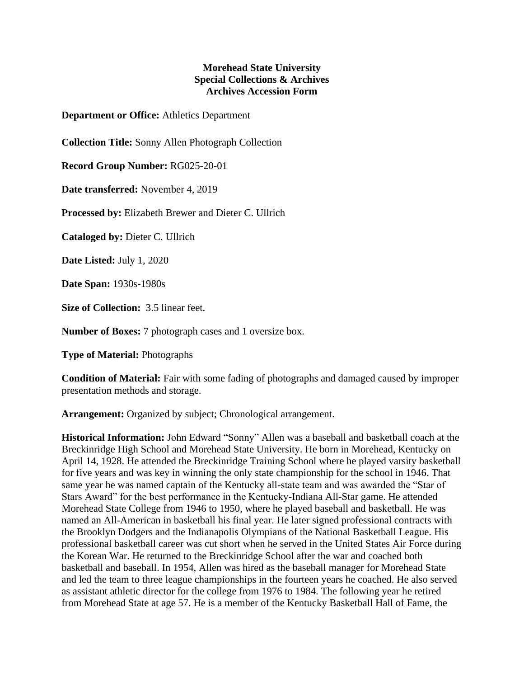## **Morehead State University Special Collections & Archives Archives Accession Form**

**Department or Office:** Athletics Department

**Collection Title:** Sonny Allen Photograph Collection

**Record Group Number:** RG025-20-01

**Date transferred:** November 4, 2019

**Processed by:** Elizabeth Brewer and Dieter C. Ullrich

**Cataloged by:** Dieter C. Ullrich

**Date Listed:** July 1, 2020

**Date Span:** 1930s-1980s

**Size of Collection:** 3.5 linear feet.

**Number of Boxes:** 7 photograph cases and 1 oversize box.

**Type of Material:** Photographs

**Condition of Material:** Fair with some fading of photographs and damaged caused by improper presentation methods and storage.

**Arrangement:** Organized by subject; Chronological arrangement.

**Historical Information:** John Edward "Sonny" Allen was a baseball and basketball coach at the Breckinridge High School and Morehead State University. He born in Morehead, Kentucky on April 14, 1928. He attended the Breckinridge Training School where he played varsity basketball for five years and was key in winning the only state championship for the school in 1946. That same year he was named captain of the Kentucky all-state team and was awarded the "Star of Stars Award" for the best performance in the Kentucky-Indiana All-Star game. He attended Morehead State College from 1946 to 1950, where he played baseball and basketball. He was named an All-American in basketball his final year. He later signed professional contracts with the Brooklyn Dodgers and the Indianapolis Olympians of the National Basketball League. His professional basketball career was cut short when he served in the United States Air Force during the Korean War. He returned to the Breckinridge School after the war and coached both basketball and baseball. In 1954, Allen was hired as the baseball manager for Morehead State and led the team to three league championships in the fourteen years he coached. He also served as assistant athletic director for the college from 1976 to 1984. The following year he retired from Morehead State at age 57. He is a member of the Kentucky Basketball Hall of Fame, the